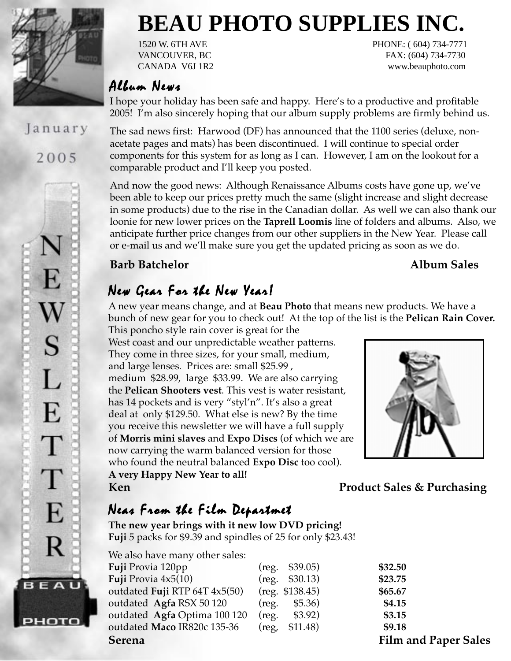

January

2005

# **BEAU PHOTO SUPPLIES INC.**

1520 W. 6TH AVE PHONE: ( 604) 734-7771 VANCOUVER, BC FAX: (604) 734-7730 CANADA V6J 1R2 www.beauphoto.com

#### Album News

I hope your holiday has been safe and happy. Here's to a productive and profitable 2005! I'm also sincerely hoping that our album supply problems are firmly behind us.

The sad news first: Harwood (DF) has announced that the 1100 series (deluxe, nonacetate pages and mats) has been discontinued. I will continue to special order components for this system for as long as I can. However, I am on the lookout for a comparable product and I'll keep you posted.

And now the good news: Although Renaissance Albums costs have gone up, we've been able to keep our prices pretty much the same (slight increase and slight decrease in some products) due to the rise in the Canadian dollar. As well we can also thank our loonie for new lower prices on the **Taprell Loomis** line of folders and albums. Also, we anticipate further price changes from our other suppliers in the New Year. Please call or e-mail us and we'll make sure you get the updated pricing as soon as we do.

#### **Barb Batchelor Album Sales**

## New Gear For the New Year!

A new year means change, and at **Beau Photo** that means new products. We have a bunch of new gear for you to check out! At the top of the list is the **Pelican Rain Cover.** This poncho style rain cover is great for the

West coast and our unpredictable weather patterns. They come in three sizes, for your small, medium, and large lenses. Prices are: small \$25.99 , medium \$28.99, large \$33.99. We are also carrying the **Pelican Shooters vest**. This vest is water resistant, has 14 pockets and is very "styl'n". It's also a great deal at only \$129.50. What else is new? By the time you receive this newsletter we will have a full supply of **Morris mini slaves** and **Expo Discs** (of which we are now carrying the warm balanced version for those who found the neutral balanced **Expo Disc** too cool). **A very Happy New Year to all! Ken** Product Sales & Purchasing



## Neas From the Film Departmet

**The new year brings with it new low DVD pricing! Fuji** 5 packs for \$9.39 and spindles of 25 for only \$23.43!

| We also have many other sales: |  |  |
|--------------------------------|--|--|
| Fuji Provia 120pp              |  |  |
| <b>Fuji</b> Provia $4x5(10)$   |  |  |
| outdated Fuji RTP 64T 4x5(50)  |  |  |
| outdated Agfa RSX 50 120       |  |  |
| outdated Agfa Optima 100 120   |  |  |
| outdated Maco IR820c 135-36    |  |  |

| <b>Serena</b>                 |                         | <b>Film and Paper Sales</b> |
|-------------------------------|-------------------------|-----------------------------|
| outdated Maco IR820c 135-36   | $(\text{reg}, \$11.48)$ | \$9.18                      |
| outdated Agfa Optima 100 120  | \$3.92)<br>(reg.        | \$3.15                      |
| outdated Agfa RSX 50 120      | \$5.36)<br>(reg.        | \$4.15                      |
| outdated Fuji RTP 64T 4x5(50) | $(reg. \$138.45)$       | \$65.67                     |
| Fuji Provia 4x5(10)           | $(reg. \$30.13)$        | \$23.75                     |
| <b>Fuji</b> Provia 120pp      | $(\text{reg. } $39.05)$ | \$32.50                     |
|                               |                         |                             |

E W<br>S L E T T E R **BEAU** РНОТО